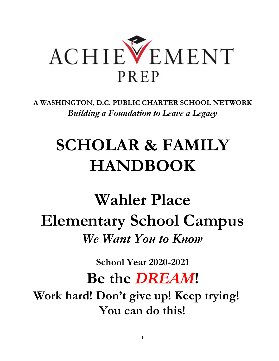

**A WASHINGTON, D.C. PUBLIC CHARTER SCHOOL NETWORK** *Building a Foundation to Leave a Legacy*

# **SCHOLAR & FAMILY HANDBOOK**

**Wahler Place Elementary School Campus** *We Want You to Know*

**School Year 2020-2021**

## **Be the** *DREAM***!**

**Work hard! Don't give up! Keep trying! You can do this!**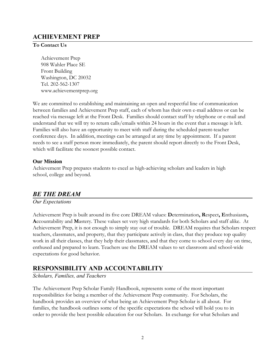## **ACHIEVEMENT PREP**

#### **To Contact Us**

Achievement Prep 908 Wahler Place SE Front Building Washington, DC 20032 Tel. 202-562-1307 www.achievementprep.org

We are committed to establishing and maintaining an open and respectful line of communication between families and Achievement Prep staff, each of whom has their own e-mail address or can be reached via message left at the Front Desk. Families should contact staff by telephone or e-mail and understand that we will try to return calls/emails within 24 hours in the event that a message is left. Families will also have an opportunity to meet with staff during the scheduled parent-teacher conference days. In addition, meetings can be arranged at any time by appointment. If a parent needs to see a staff person more immediately, the parent should report directly to the Front Desk, which will facilitate the soonest possible contact.

## **Our Mission**

Achievement Prep prepares students to excel as high-achieving scholars and leaders in high school, college and beyond.

## *BE THE DREAM*

*Our Expectations*

Achievement Prep is built around its five core DREAM values: **D**etermination**, R**espect**, E**nthusiasm**, A**ccountability and **M**astery. These values set very high standards for both Scholars and staff alike. At Achievement Prep, it is not enough to simply stay out of trouble. DREAM requires that Scholars respect teachers, classmates, and property, that they participate actively in class, that they produce top quality work in all their classes, that they help their classmates, and that they come to school every day on time, enthused and prepared to learn. Teachers use the DREAM values to set classroom and school-wide expectations for good behavior.

## **RESPONSIBILITY AND ACCOUNTABILITY**

*Scholars, Families, and Teachers*

The Achievement Prep Scholar Family Handbook, represents some of the most important responsibilities for being a member of the Achievement Prep community. For Scholars, the handbook provides an overview of what being an Achievement Prep Scholar is all about. For families, the handbook outlines some of the specific expectations the school will hold you to in order to provide the best possible education for our Scholars. In exchange for what Scholars and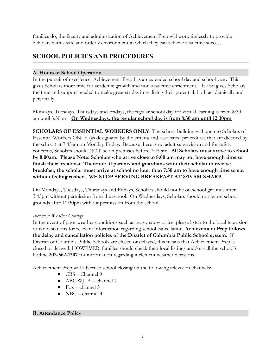families do, the faculty and administration of Achievement Prep will work tirelessly to provide Scholars with a safe and orderly environment in which they can achieve academic success.

## **SCHOOL POLICIES AND PROCEDURES**

## **A. Hours of School Operation**

In the pursuit of excellence, Achievement Prep has an extended school day and school year. This gives Scholars more time for academic growth and non-academic enrichment. It also gives Scholars the time and support needed to make great strides in realizing their potential, both academically and personally.

Mondays, Tuesdays, Thursdays and Fridays, the regular school day for virtual learning is from 8:30 am until 3:30pm. **On Wednesdays, the regular school day is from 8:30 am until 12:30pm**.

**SCHOLARS OF ESSENTIAL WORKERS ONLY:** The school building will open to Scholars of Essential Workers ONLY (as designated by the criteria and associated procedures that are dictated by the school) at 7:45am on Monday-Friday. Because there is no adult supervision and for safety concerns, Scholars should NOT be on premises before 7:45 am. **All Scholars must arrive to school by 8:00am. Please Note: Scholars who arrive close to 8:00 am may not have enough time to finish their breakfast. Therefore, if parents and guardians want their scholar to receive breakfast, the scholar must arrive at school no later than 7:50 am to have enough time to eat without feeling rushed. WE STOP SERVING BREAKFAST AT 8:15 AM SHARP.**

On Mondays, Tuesdays, Thursdays and Fridays, Scholars should not be on school grounds after 3:45pm without permission from the school. On Wednesdays, Scholars should not be on school grounds after 12:30pm without permission from the school.

## *Inclement Weather Closings*

In the event of poor weather conditions such as heavy snow or ice, please listen to the local television or radio stations for relevant information regarding school cancellation. **Achievement Prep follows the delay and cancellation policies of the District of Columbia Public School system**. If District of Columbia Public Schools are closed or delayed, this means that Achievement Prep is closed or delayed. HOWEVER, families should check their local listings and/or call the school's hotline **202-562-1307** for information regarding inclement weather decisions.

Achievement Prep will advertise school closing on the following television channels:

- CBS Channel 9
- ABC WJLA channel 7
- $\bullet$  Fox channel 5
- $\bullet$  NBC channel 4

## **B. Attendance Policy**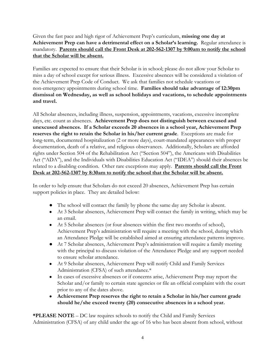Given the fast pace and high rigor of Achievement Prep's curriculum, **missing one day at** Achievement Prep can have a detrimental effect on a Scholar's learning. Regular attendance is mandatory. **Parents should call the Front Desk at 202-562-1307 by 9:00am to notify the school that the Scholar will be absent.**

Families are expected to ensure that their Scholar is in school; please do not allow your Scholar to miss a day of school except for serious illness. Excessive absences will be considered a violation of the Achievement Prep Code of Conduct. We ask that families not schedule vacations or non-emergency appointments during school time. **Families should take advantage of 12:30pm dismissal on Wednesday, as well as school holidays and vacations, to schedule appointments and travel.**

All Scholar absences, including illness, suspension, appointments, vacations, excessive incomplete days, etc. count as absences. **Achievement Prep does not distinguish between excused and unexcused absences. If a Scholar exceeds 20 absences in a school year, Achievement Prep reserves the right to retain the Scholar in his/her current grade**. Exceptions are made for long-term, documented hospitalization (2 or more days), court-mandated appearances with proper documentation, death of a relative, and religious observances. Additionally, Scholars are afforded rights under Section 504 of the Rehabilitation Act ("Section 504"), the Americans with Disabilities Act ("ADA"), and the Individuals with Disabilities Education Act ("IDEA") should their absences be related to a disabling condition. Other rare exceptions may apply. **Parents should call the Front Desk at 202-562-1307 by 8:30am to notify the school that the Scholar will be absent.**

In order to help ensure that Scholars do not exceed 20 absences, Achievement Prep has certain support policies in place. They are detailed below:

- The school will contact the family by phone the same day any Scholar is absent.
- At 3 Scholar absences, Achievement Prep will contact the family in writing, which may be an email.
- At 5 Scholar absences (or four absences within the first two months of school), Achievement Prep's administration will require a meeting with the school, during which an Attendance Pledge will be established aimed at ensuring attendance patterns improve.
- At 7 Scholar absences, Achievement Prep's administration will require a family meeting with the principal to discuss violation of the Attendance Pledge and any support needed to ensure scholar attendance.
- At 9 Scholar absences, Achievement Prep will notify Child and Family Services Administration (CFSA) of such attendance.\*
- In cases of excessive absences or if concerns arise, Achievement Prep may report the Scholar and/or family to certain state agencies or file an official complaint with the court prior to any of the dates above.
- **Achievement Prep reserves the right to retain a Scholar in his/her current grade should he/she exceed twenty (20) consecutive absences in a school year.**

**\*PLEASE NOTE** – DC law requires schools to notify the Child and Family Services Administration (CFSA) of any child under the age of 16 who has been absent from school, without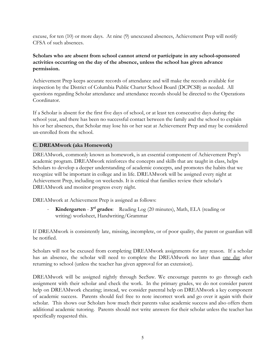excuse, for ten (10) or more days. At nine (9) unexcused absences, Achievement Prep will notify CFSA of such absences.

## **Scholars who are absent from school cannot attend or participate in any school-sponsored activities occurring on the day of the absence, unless the school has given advance permission.**

Achievement Prep keeps accurate records of attendance and will make the records available for inspection by the District of Columbia Public Charter School Board (DCPCSB) as needed. All questions regarding Scholar attendance and attendance records should be directed to the Operations Coordinator.

If a Scholar is absent for the first five days of school, or at least ten consecutive days during the school year, and there has been no successful contact between the family and the school to explain his or her absences, that Scholar may lose his or her seat at Achievement Prep and may be considered un-enrolled from the school.

## **C. DREAMwork (aka Homework)**

DREAMwork, commonly known as homework, is an essential component of Achievement Prep's academic program. DREAMwork reinforces the concepts and skills that are taught in class, helps Scholars to develop a deeper understanding of academic concepts, and promotes the habits that we recognize will be important in college and in life. DREAMwork will be assigned every night at Achievement Prep, including on weekends. It is critical that families review their scholar's DREAMwork and monitor progress every night.

DREAMwork at Achievement Prep is assigned as follows:

• **Kindergarten** - 3<sup>rd</sup> grades: Reading Log (20 minutes), Math, ELA (reading or writing) worksheet, Handwriting/Grammar

If DREAMwork is consistently late, missing, incomplete, or of poor quality, the parent or guardian will be notified.

Scholars will not be excused from completing DREAMwork assignments for any reason. If a scholar has an absence, the scholar will need to complete the DREAMwork no later than <u>one day</u> after returning to school (unless the teacher has given approval for an extension).

DREAMwork will be assigned nightly through SeeSaw. We encourage parents to go through each assignment with their scholar and check the work. In the primary grades, we do not consider parent help on DREAMwork cheating; instead, we consider parental help on DREAMwork a key component of academic success. Parents should feel free to note incorrect work and go over it again with their scholar. This shows our Scholars how much their parents value academic success and also offers them additional academic tutoring. Parents should not write answers for their scholar unless the teacher has specifically requested this.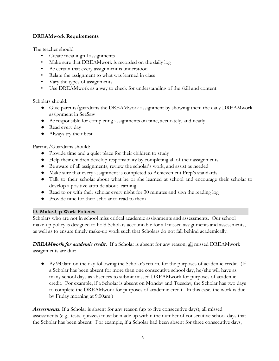## **DREAMwork Requirements**

The teacher should:

- Create meaningful assignments
- Make sure that DREAMwork is recorded on the daily log
- Be certain that every assignment is understood
- Relate the assignment to what was learned in class
- Vary the types of assignments
- Use DREAMwork as a way to check for understanding of the skill and content

Scholars should:

- Give parents/guardians the DREAMwork assignment by showing them the daily DREAMwork assignment in SeeSaw
- Be responsible for completing assignments on time, accurately, and neatly
- Read every day
- Always try their best

Parents/Guardians should:

- Provide time and a quiet place for their children to study
- Help their children develop responsibility by completing all of their assignments
- Be aware of all assignments, review the scholar's work, and assist as needed
- Make sure that every assignment is completed to Achievement Prep's standards
- Talk to their scholar about what he or she learned at school and encourage their scholar to develop a positive attitude about learning
- Read to or with their scholar every night for 30 minutes and sign the reading log
- Provide time for their scholar to read to them

## **D. Make-Up Work Policies**

Scholars who are not in school miss critical academic assignments and assessments. Our school make-up policy is designed to hold Scholars accountable for all missed assignments and assessments, as well as to ensure timely make-up work such that Scholars do not fall behind academically.

*DREAMwork for academic credit***.** If a Scholar is absent for any reason, all missed DREAMwork assignments are due:

• By 9:00am on the day <u>following</u> the Scholar's return, <u>for the purposes of academic credit</u>. (If a Scholar has been absent for more than one consecutive school day, he/she will have as many school days as absences to submit missed DREAMwork for purposes of academic credit. For example, if a Scholar is absent on Monday and Tuesday, the Scholar has two days to complete the DREAMwork for purposes of academic credit. In this case, the work is due by Friday morning at 9:00am.)

*Assessments.* If a Scholar is absent for any reason (up to five consecutive days), all missed assessments (e.g., tests, quizzes) must be made up within the number of consecutive school days that the Scholar has been absent. For example, if a Scholar had been absent for three consecutive days,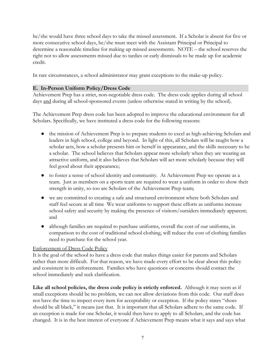he/she would have three school days to take the missed assessment. If a Scholar is absent for five or more consecutive school days, he/she must meet with the Assistant Principal or Principal to determine a reasonable timeline for making up missed assessments. NOTE – the school reserves the right not to allow assessments missed due to tardies or early dismissals to be made up for academic credit.

In rare circumstances, a school administrator may grant exceptions to the make-up policy.

#### **E. In-Person Uniform Policy/Dress Code**

Achievement Prep has a strict, non-negotiable dress code. The dress code applies during all school days and during all school-sponsored events (unless otherwise stated in writing by the school).

The Achievement Prep dress code has been adopted to improve the educational environment for all Scholars. Specifically, we have instituted a dress code for the following reasons:

- the mission of Achievement Prep is to prepare students to excel as high-achieving Scholars and leaders in high school, college and beyond. In light of this, all Scholars will be taught how a scholar acts, how a scholar presents him or herself in appearance, and the skills necessary to be a scholar. The school believes that Scholars appear more scholarly when they are wearing an attractive uniform, and it also believes that Scholars will act more scholarly because they will feel good about their appearance;
- to foster a sense of school identity and community. At Achievement Prep we operate as a team. Just as members on a sports team are required to wear a uniform in order to show their strength in unity, so too are Scholars of the Achievement Prep team;
- we are committed to creating a safe and structured environment where both Scholars and staff feel secure at all time We wear uniforms to support these efforts as uniforms increase school safety and security by making the presence of visitors/outsiders immediately apparent; and
- although families are required to purchase uniforms, overall the cost of our uniforms, in comparison to the cost of traditional school clothing, will reduce the cost of clothing families need to purchase for the school year.

#### Enforcement of Dress Code Policy

It is the goal of the school to have a dress code that makes things easier for parents and Scholars rather than more difficult. For that reason, we have made every effort to be clear about this policy and consistent in its enforcement. Families who have questions or concerns should contact the school immediately and seek clarification.

**Like all school policies, the dress code policy is strictly enforced.** Although it may seem as if small exceptions should be no problem, we can not allow deviations from this code. Our staff does not have the time to inspect every item for acceptability or exception. If the policy states "shoes should be all black," it means just that. It is important that all Scholars adhere to the same code. If an exception is made for one Scholar, it would then have to apply to all Scholars, and the code has changed. It is in the best interest of everyone if Achievement Prep means what it says and says what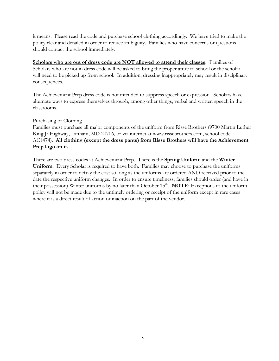it means. Please read the code and purchase school clothing accordingly. We have tried to make the policy clear and detailed in order to reduce ambiguity. Families who have concerns or questions should contact the school immediately.

**Scholars who are out of dress code are NOT allowed to attend their classes.** Families of Scholars who are not in dress code will be asked to bring the proper attire to school or the scholar will need to be picked up from school. In addition, dressing inappropriately may result in disciplinary consequences.

The Achievement Prep dress code is not intended to suppress speech or expression. Scholars have alternate ways to express themselves through, among other things, verbal and written speech in the classrooms.

#### Purchasing of Clothing

Families must purchase all major components of the uniform from Risse Brothers (9700 Martin Luther King Jr Highway, Lanham, MD 20706, or via internet at www.rissebrothers.com, school code: AC1474). **All clothing (except the dress pants) from Risse Brothers will have the Achievement Prep logo on it.**

There are two dress codes at Achievement Prep. There is the **Spring Uniform** and the **Winter Uniform**. Every Scholar is required to have both. Families may choose to purchase the uniforms separately in order to defray the cost so long as the uniforms are ordered AND received prior to the date the respective uniform changes. In order to ensure timeliness, families should order (and have in their possession) Winter uniforms by no later than October 15<sup>th</sup>. **NOTE**: Exceptions to the uniform policy will not be made due to the untimely ordering or receipt of the uniform except in rare cases where it is a direct result of action or inaction on the part of the vendor.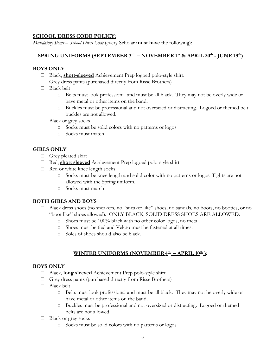## **SCHOOL DRESS CODE POLICY:**

*Mandatory Items – School Dress Code* (every Scholar **must have** the following):

#### $\frac{\text{SPRING UNIFORMS (SEPTEMBER 3^{\text{rd}} - NOVEMBER 1^{\text{st}} \text{ & } \text{APRIL 20^{\text{th}} - JUNE 19^{\text{th}})}$

#### **BOYS ONLY**

- □ Black, **short-sleeved** Achievement Prep logoed polo-style shirt.
- $\Box$  Grey dress pants (purchased directly from Risse Brothers)
- □ Black belt
	- o Belts must look professional and must be all black. They may not be overly wide or have metal or other items on the band.
	- o Buckles must be professional and not oversized or distracting. Logoed or themed belt buckles are not allowed.
- □ Black or grey socks
	- o Socks must be solid colors with no patterns or logos
	- o Socks must match

#### **GIRLS ONLY**

- □ Grey pleated skirt
- □ Red, **short sleeved** Achievement Prep logoed polo-style shirt
- $\Box$  Red or white knee length socks
	- o Socks must be knee length and solid color with no patterns or logos. Tights are not allowed with the Spring uniform.
	- o Socks must match

#### **BOTH GIRLS AND BOYS**

- □ Black dress shoes (no sneakers, no "sneaker like" shoes, no sandals, no boots, no booties, or no "boot like" shoes allowed). ONLY BLACK, SOLID DRESS SHOES ARE ALLOWED.
	- o Shoes must be 100% black with no other color logos, no metal.
	- o Shoes must be tied and Velcro must be fastened at all times.
	- o Soles of shoes should also be black.

## **WINTER UNIFORMS (NOVEMBER4 th – APRIL 10th ):**

#### **BOYS ONLY**

- □ Black, **long sleeved** Achievement Prep polo-style shirt
- $\Box$  Grey dress pants (purchased directly from Risse Brothers)
- □ Black belt
	- o Belts must look professional and must be all black. They may not be overly wide or have metal or other items on the band.
	- o Buckles must be professional and not oversized or distracting. Logoed or themed belts are not allowed.
- □ Black or grey socks
	- o Socks must be solid colors with no patterns or logos.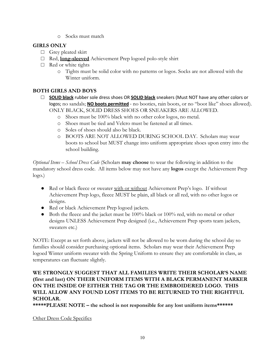o Socks must match

## **GIRLS ONLY**

- □ Grey pleated skirt
- □ Red, **long-sleeved** Achievement Prep logoed polo-style shirt
- □ Red or white tights
	- o Tights must be solid color with no patterns or logos. Socks are not allowed with the Winter uniform.

## **BOTH GIRLS AND BOYS**

- □ **SOLID black** rubber sole dress shoes OR **SOLID black** sneakers (Must NOT have any other colors or logos; no sandals; **NO boots permitted** - no booties, rain boots, or no "boot like" shoes allowed). ONLY BLACK, SOLID DRESS SHOES OR SNEAKERS ARE ALLOWED.
	- o Shoes must be 100% black with no other color logos, no metal.
	- o Shoes must be tied and Velcro must be fastened at all times.
	- o Soles of shoes should also be black.
	- o BOOTS ARE NOT ALLOWED DURING SCHOOL DAY. Scholars may wear boots to school but MUST change into uniform appropriate shoes upon entry into the school building.

*Optional Items – School Dress Code* (Scholars **may choose** to wear the following in addition to the mandatory school dress code. All items below may not have any **logos** except the Achievement Prep logo.)

- Red or black fleece or sweater with or without Achievement Prep's logo. If without Achievement Prep logo, fleece MUST be plain, all black or all red, with no other logos or designs.
- Red or black Achievement Prep logoed jackets.
- $\bullet$  Both the fleece and the jacket must be 100% black or 100% red, with no metal or other designs UNLESS Achievement Prep designed (i.e., Achievement Prep sports team jackets, sweaters etc.)

NOTE: Except as set forth above, jackets will not be allowed to be worn during the school day so families should consider purchasing optional items. Scholars may wear their Achievement Prep logoed Winter uniform sweater with the Spring Uniform to ensure they are comfortable in class, as temperatures can fluctuate slightly.

## **WE STRONGLY SUGGEST THAT ALL FAMILIES WRITE THEIR SCHOLAR'S NAME (first and last) ON THEIR UNIFORM ITEMS WITH A BLACK PERMANENT MARKER ON THE INSIDE OF EITHER THE TAG OR THE EMBROIDERED LOGO. THIS WILL ALLOW ANY FOUND LOST ITEMS TO BE RETURNED TO THE RIGHTFUL SCHOLAR.**

**\*\*\*\*\*PLEASE NOTE – the school is not responsible for any lost uniform items\*\*\*\*\*\***

## Other Dress Code Specifics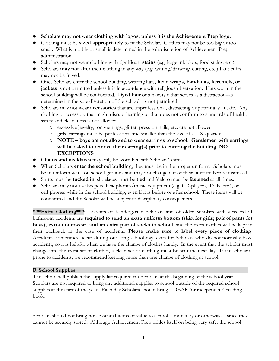- **Scholars may not wear clothing with logos, unless it is the Achievement Prep logo.**
- Clothing must be **sized appropriately** to fit the Scholar. Clothes may not be too big or too small. What is too big or small is determined in the sole discretion of Achievement Prep administration.
- Scholars may not wear clothing with significant **stains** (e.g. large ink blots, food stains, etc.).
- Scholars **may not alter** their clothing in any way (e.g. writing/drawing, cutting, etc.) Pant cuffs may not be frayed.
- Once Scholars enter the school building, wearing hats**, head wraps, bandanas, kerchiefs, or jackets** is not permitted unless it is in accordance with religious observation. Hats worn in the school building will be confiscated. **Dyed hair** or a hairstyle that serves as a distraction–as determined in the sole discretion of the school– is not permitted.
- Scholars may not wear **accessories** that are unprofessional, distracting or potentially unsafe. Any clothing or accessory that might disrupt learning or that does not conform to standards of health, safety and cleanliness is not allowed.
	- o excessive jewelry, tongue rings, glitter, press-on nails, etc. are not allowed
	- o girls' earrings must be professional and smaller than the size of a U.S. quarter.
	- o **NOTE boys are not allowed to wear earrings to school. Gentlemen with earrings will be asked to remove their earring(s) prior to entering the building**. **NO EXCEPTIONS**
- **Chains and necklaces** may only be worn beneath Scholars' shirts.
- When Scholars **enter the school building**, they must be in the proper uniform. Scholars must be in uniform while on school grounds and may not change out of their uniform before dismissal.
- Shirts must be **tucked in**, shoelaces must be **tied** and Velcro must be **fastened** at all times.
- Scholars may not use beepers, headphones/music equipment (e.g. CD-players, iPods, etc.), or cell-phones while in the school building, even if it is before or after school. These items will be confiscated and the Scholar will be subject to disciplinary consequences.

**\*\*\*Extra Clothing\*\*\***: Parents of Kindergarten Scholars and of older Scholars with a record of bathroom accidents are **required to send an extra uniform bottom (skirt for girls; pair of pants for boys), extra underwear, and an extra pair of socks to school**, and the extra clothes will be kept in their backpack in the case of accidents. **Please make sure to label every piece of clothing**. Accidents sometimes occur during our long school-day, even for Scholars who do not normally have accidents, so it is helpful when we have the change of clothes handy. In the event that the scholar must change into the extra set of clothes, a clean set of clothing must be sent the next day. If the scholar is prone to accidents, we recommend keeping more than one change of clothing at school.

#### **F. School Supplies**

The school will publish the supply list required for Scholars at the beginning of the school year. Scholars are not required to bring any additional supplies to school outside of the required school supplies at the start of the year. Each day Scholars should bring a DEAR (or independent) reading book.

Scholars should not bring non-essential items of value to school – monetary or otherwise – since they cannot be securely stored. Although Achievement Prep prides itself on being very safe, the school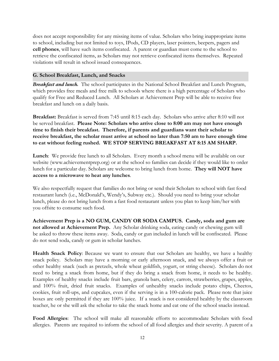does not accept responsibility for any missing items of value. Scholars who bring inappropriate items to school, including but not limited to toys, IPods, CD players, laser pointers, beepers, pagers and **cell phones**, will have such items confiscated. A parent or guardian must come to the school to retrieve the confiscated items, as Scholars may not retrieve confiscated items themselves. Repeated violations will result in school issued consequences.

#### **G. School Breakfast, Lunch, and Snacks**

*Breakfast and lunch.* The school participates in the National School Breakfast and Lunch Program, which provides free meals and free milk to schools where there is a high percentage of Scholars who qualify for Free and Reduced Lunch. All Scholars at Achievement Prep will be able to receive free breakfast and lunch on a daily basis.

**Breakfast:** Breakfast is served from 7:45 until 8:15 each day. Scholars who arrive after 8:10 will not be served breakfast. **Please Note: Scholars who arrive close to 8:00 am may not have enough time to finish their breakfast. Therefore, if parents and guardians want their scholar to receive breakfast, the scholar must arrive at school no later than 7:50 am to have enough time to eat without feeling rushed. WE STOP SERVING BREAKFAST AT 8:15 AM SHARP.**

**Lunch**: We provide free lunch to all Scholars. Every month a school menu will be available on our website (www.achievementprep.org) or at the school so families can decide if they would like to order lunch for a particular day. Scholars are welcome to bring lunch from home. **They will NOT have access to a microwave to heat any lunches**.

We also respectfully request that families do not bring or send their Scholars to school with fast food restaurant lunch (i.e., McDonald's, Wendy's, Subway etc.). Should you need to bring your scholar lunch, please do not bring lunch from a fast food restaurant unless you plan to keep him/her with you offsite to consume such food.

**Achievement Prep is a NO GUM, CANDY OR SODA CAMPUS. Candy, soda and gum are not allowed at Achievement Prep.** Any Scholar drinking soda, eating candy or chewing gum will be asked to throw these items away. Soda, candy or gun included in lunch will be confiscated. Please do not send soda, candy or gum in scholar lunches.

**Health Snack Policy**: Because we want to ensure that our Scholars are healthy, we have a healthy snack policy. Scholars may have a morning or early afternoon snack, and we always offer a fruit or other healthy snack (such as pretzels, whole wheat goldfish, yogurt, or string cheese). Scholars do not need to bring a snack from home, but if they do bring a snack from home, it needs to be healthy. Examples of healthy snacks include fruit bars, granola bars, celery, carrots, strawberries, grapes, apples, and 100% fruit, dried fruit snacks. Examples of unhealthy snacks include potato chips, Cheetos, cookies, fruit roll-ups, and cupcakes, even if the serving is in a 100-calorie pack. Please note that juice boxes are only permitted if they are 100% juice. If a snack is not considered healthy by the classroom teacher, he or she will ask the scholar to take the snack home and eat one of the school snacks instead.

**Food Allergies**: The school will make all reasonable efforts to accommodate Scholars with food allergies. Parents are required to inform the school of all food allergies and their severity. A parent of a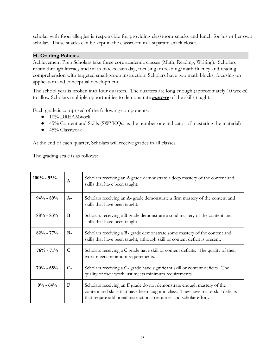scholar with food allergies is responsible for providing classroom snacks and lunch for his or her own scholar. These snacks can be kept in the classroom in a separate snack closet.

#### **H. Grading Policies**

Achievement Prep Scholars take three core academic classes (Math, Reading, Writing). Scholars rotate through literacy and math blocks each day, focusing on reading/math fluency and reading comprehension with targeted small-group instruction. Scholars have two math blocks, focusing on application and conceptual development.

The school year is broken into four quarters. The quarters are long enough (approximately 10 weeks) to allow Scholars multiple opportunities to demonstrate *mastery* of the skills taught.

Each grade is comprised of the following components:

- 10% DREAMwork
- 45% Content and Skills (SWYKQs, as the number one indicator of mastering the material)
- 45% Classwork

At the end of each quarter, Scholars will receive grades in all classes.

The grading scale is as follows:

| $100\% - 95\%$ | $\mathbf{A}$ | Scholars receiving an A grade demonstrate a deep mastery of the content and<br>skills that have been taught.                                                                                                                         |
|----------------|--------------|--------------------------------------------------------------------------------------------------------------------------------------------------------------------------------------------------------------------------------------|
| $94\% - 89\%$  | $A-$         | Scholars receiving an A- grade demonstrate a firm mastery of the content and<br>skills that have been taught.                                                                                                                        |
| $88\% - 83\%$  | B            | Scholars receiving a <b>B</b> grade demonstrate a solid mastery of the content and<br>skills that have been taught.                                                                                                                  |
| $82\% - 77\%$  | $B -$        | Scholars receiving a <b>B</b> - grade demonstrate some mastery of the content and<br>skills that have been taught, although skill or content deficit is present.                                                                     |
| $76% - 71%$    | C            | Scholars receiving a C grade have skill or content deficits. The quality of their<br>work meets minimum requirements.                                                                                                                |
| $70% - 65%$    | $C-$         | Scholars receiving a C- grade have significant skill or content deficits. The<br>quality of their work just meets minimum requirements.                                                                                              |
| $0\% - 64\%$   | F            | Scholars receiving an $F$ grade do not demonstrate enough mastery of the<br>content and skills that have been taught in class. They have major skill deficits<br>that require additional instructional resources and scholar effort. |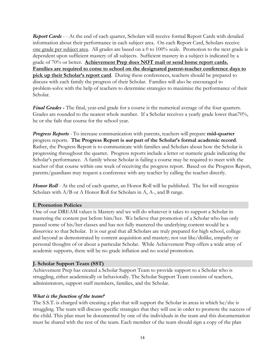*Report Cards* - - At the end of each quarter, Scholars will receive formal Report Cards with detailed information about their performance in each subject area. On each Report Card, Scholars receive one grade per subject area. All grades are based on a 0 to 100% scale. Promotion to the next grade is dependent upon sufficient mastery of all subjects. Sufficient mastery in a subject is indicated by a grade of 70% or better. **Achievement Prep does NOT mail or send home report cards. Families are required to come to school on the designated parent-teacher conference days to pick up their Scholar's report card**. During these conferences, teachers should be prepared to discuss with each family the progress of their Scholar. Families will also be encouraged to problem-solve with the help of teachers to determine strategies to maximize the performance of their Scholar.

*Final Grades* **-** The final, year-end grade for a course is the numerical average of the four quarters. Grades are rounded to the nearest whole number. If a Scholar receives a yearly grade lower than70%, he or she fails that course for the school year.

*Progress Reports -* To increase communication with parents, teachers will prepare **mid-quarter** progress reports. **The Progress Report is** *not* **part of the Scholar's formal academic record**. Rather, the Progress Report is to communicate with families and Scholars about how the Scholar is progressing throughout the quarter. Progress reports include a letter or numeric grade indicating the Scholar's performance. A family whose Scholar is failing a course may be required to meet with the teacher of that course within one week of receiving the progress report. Based on the Progress Report, parents/guardians may request a conference with any teacher by calling the teacher directly.

*Honor Roll* - At the end of each quarter, an Honor Roll will be published. The list will recognize Scholars with  $A/B$  or A Honor Roll for Scholars in A, A-, and B range.

#### **I. Promotion Policies**

One of our DREAM values is Mastery and we will do whatever it takes to support a Scholar in mastering the content put before him/her. We believe that promotion of a Scholar who has only passed some of his/her classes and has not fully mastered the underlying content would be a disservice to that Scholar. It is our goal that all Scholars are truly prepared for high school, college and beyond as demonstrated by content acquisition and mastery; not our like/dislike, empathy or personal thoughts of or about a particular Scholar. While Achievement Prep offers a wide array of academic supports, there will be no grade inflation and no social promotion.

#### **J. Scholar Support Team (SST)**

Achievement Prep has created a Scholar Support Team to provide support to a Scholar who is struggling, either academically or behaviorally. The Scholar Support Team consists of teachers, administrators, support staff members, families, and the Scholar.

#### *What is the function of the team?*

The S.S.T. is charged with creating a plan that will support the Scholar in areas in which he/she is struggling. The team will discuss specific strategies that they will use in order to promote the success of the child. This plan must be documented by one of the individuals in the team and this documentation must be shared with the rest of the team. Each member of the team should sign a copy of the plan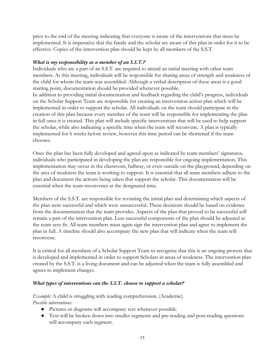prior to the end of the meeting indicating that everyone is aware of the interventions that must be implemented. It is imperative that the family and the scholar are aware of this plan in order for it to be effective. Copies of the intervention plan should be kept by all members of the S.S.T.

#### *What is my responsibility as a member of an S.S.T.?*

Individuals who are a part of an S.S.T. are required to attend an initial meeting with other team members. At this meeting, individuals will be responsible for sharing areas of strength and weakness of the child for whom the team was assembled. Although a verbal description of these areas is a good starting point, documentation should be provided whenever possible.

In addition to providing initial documentation and feedback regarding the child's progress, individuals on the Scholar Support Team are responsible for creating an intervention action plan which will be implemented in order to support the scholar. All individuals on the team should participate in the creation of this plan because every member of the team will be responsible for implementing the plan in full once it is created. This plan will include specific interventions that will be used to help support the scholar, while also indicating a specific time when the team will reconvene. A plan is typically implemented for 6 weeks before review, however this time period can be shortened if the team chooses.

Once the plan has been fully developed and agreed upon as indicated by team members' signatures, individuals who participated in developing the plan are responsible for ongoing implementation. This implementation may occur in the classroom, hallway, or even outside on the playground, depending on the area of weakness the team is working to support. It is essential that all team members adhere to the plan and document the actions being taken that support the scholar. This documentation will be essential when the team reconvenes at the designated time.

Members of the S.S.T. are responsible for revisiting the initial plan and determining which aspects of the plan were successful and which were unsuccessful. These decisions should be based on evidence from the documentation that the team provides. Aspects of the plan that proved to be successful will remain a part of the intervention plan. Less successful components of the plan should be adjusted as the team sees fit. All team members must again sign the intervention plan and agree to implement the plan in full. A timeline should also accompany the new plan that will indicate when the team will reconvene.

It is critical for all members of a Scholar Support Team to recognize that this is an ongoing process that is developed and implemented in order to support Scholars in areas of weakness. The intervention plan created by the S.S.T. is a living document and can be adjusted when the team is fully assembled and agrees to implement changes.

#### *What types of interventions can the S.S.T. choose to support a scholar?*

*Example:* A child is struggling with reading comprehension. (Academic) *Possible interventions:*

- Pictures or diagrams will accompany text whenever possible.
- Text will be broken down into smaller segments and pre-reading and post-reading questions will accompany each segment.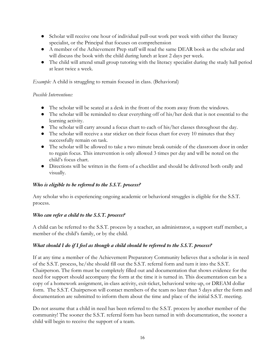- Scholar will receive one hour of individual pull-out work per week with either the literacy specialist, or the Principal that focuses on comprehension
- A member of the Achievement Prep staff will read the same DEAR book as the scholar and will discuss the book with the child during lunch at least 2 days per week.
- The child will attend small group tutoring with the literacy specialist during the study hall period at least twice a week.

*Example:* A child is struggling to remain focused in class. (Behavioral)

#### *Possible Interventions:*

- The scholar will be seated at a desk in the front of the room away from the windows.
- The scholar will be reminded to clear everything off of his/her desk that is not essential to the learning activity.
- The scholar will carry around a focus chart to each of his/her classes throughout the day.
- The scholar will receive a star sticker on their focus chart for every 10 minutes that they successfully remain on task.
- The scholar will be allowed to take a two minute break outside of the classroom door in order to regain focus. This intervention is only allowed 3 times per day and will be noted on the child's focus chart.
- Directions will be written in the form of a checklist and should be delivered both orally and visually.

## *Who is eligible to be referred to the S.S.T. process?*

Any scholar who is experiencing ongoing academic or behavioral struggles is eligible for the S.S.T. process.

## *Who can refer a child to the S.S.T. process?*

A child can be referred to the S.S.T. process by a teacher, an administrator, a support staff member, a member of the child's family, or by the child.

## *What should I do if I feel as though a child should be referred to the S.S.T. process?*

If at any time a member of the Achievement Preparatory Community believes that a scholar is in need of the S.S.T. process, he/she should fill out the S.S.T. referral form and turn it into the S.S.T. Chairperson. The form must be completely filled out and documentation that shows evidence for the need for support should accompany the form at the time it is turned in. This documentation can be a copy of a homework assignment, in-class activity, exit-ticket, behavioral write-up, or DREAM dollar form. The S.S.T. Chairperson will contact members of the team no later than 5 days after the form and documentation are submitted to inform them about the time and place of the initial S.S.T. meeting.

Do not assume that a child in need has been referred to the S.S.T. process by another member of the community! The sooner the S.S.T. referral form has been turned in with documentation, the sooner a child will begin to receive the support of a team.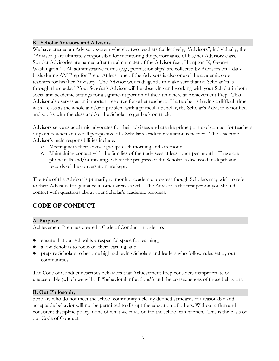## **K. Scholar Advisory and Advisors**

We have created an Advisory system whereby two teachers (collectively, "Advisors"; individually, the "Advisor") are ultimately responsible for monitoring the performance of his/her Advisory class. Scholar Advisories are named after the alma mater of the Advisor (e.g., Hampton K, George Washington 1). All administrative forms (e.g., permission slips) are collected by Advisors on a daily basis during AM Prep for Prep. At least one of the Advisors is also one of the academic core teachers for his/her Advisory. The Advisor works diligently to make sure that no Scholar 'falls through the cracks.' Your Scholar's Advisor will be observing and working with your Scholar in both social and academic settings for a significant portion of their time here at Achievement Prep. That Advisor also serves as an important resource for other teachers. If a teacher is having a difficult time with a class as the whole and/or a problem with a particular Scholar, the Scholar's Advisor is notified and works with the class and/or the Scholar to get back on track.

Advisors serve as academic advocates for their advisees and are the prime points of contact for teachers or parents when an overall perspective of a Scholar's academic situation is needed. The academic Advisor's main responsibilities include:

- o Meeting with their advisee groups each morning and afternoon.
- o Maintaining contact with the families of their advisees at least once per month. These are phone calls and/or meetings where the progress of the Scholar is discussed in-depth and records of the conversation are kept.

The role of the Advisor is primarily to monitor academic progress though Scholars may wish to refer to their Advisors for guidance in other areas as well. The Advisor is the first person you should contact with questions about your Scholar's academic progress.

## **CODE OF CONDUCT**

**A. Purpose**

Achievement Prep has created a Code of Conduct in order to:

- ensure that our school is a respectful space for learning,
- allow Scholars to focus on their learning, and
- prepare Scholars to become high-achieving Scholars and leaders who follow rules set by our communities.

The Code of Conduct describes behaviors that Achievement Prep considers inappropriate or unacceptable (which we will call "behavioral infractions") and the consequences of those behaviors.

## **B. Our Philosophy**

Scholars who do not meet the school community's clearly defined standards for reasonable and acceptable behavior will not be permitted to disrupt the education of others. Without a firm and consistent discipline policy, none of what we envision for the school can happen. This is the basis of our Code of Conduct.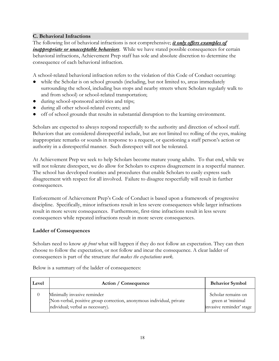## **C. Behavioral Infractions**

The following list of behavioral infractions is not comprehensive; *it only offers examples of inappropriate or unacceptable behaviors*. While we have stated possible consequences for certain behavioral infractions, Achievement Prep staff has sole and absolute discretion to determine the consequence of each behavioral infraction.

A school-related behavioral infraction refers to the violation of this Code of Conduct occurring:

- while the Scholar is on school grounds (including, but not limited to, areas immediately surrounding the school, including bus stops and nearby streets where Scholars regularly walk to and from school) or school-related transportation;
- during school-sponsored activities and trips;
- during all other school-related events; and
- off of school grounds that results in substantial disruption to the learning environment.

Scholars are expected to always respond respectfully to the authority and direction of school staff. Behaviors that are considered disrespectful include, but are not limited to: rolling of the eyes, making inappropriate remarks or sounds in response to a request, or questioning a staff person's action or authority in a disrespectful manner. Such disrespect will not be tolerated.

At Achievement Prep we seek to help Scholars become mature young adults. To that end, while we will not tolerate disrespect, we do allow for Scholars to express disagreement in a respectful manner. The school has developed routines and procedures that enable Scholars to easily express such disagreement with respect for all involved. Failure to disagree respectfully will result in further consequences.

Enforcement of Achievement Prep's Code of Conduct is based upon a framework of progressive discipline. Specifically, minor infractions result in less severe consequences while larger infractions result in more severe consequences. Furthermore, first-time infractions result in less severe consequences while repeated infractions result in more severe consequences.

## **Ladder of Consequences**

Scholars need to know *up front* what will happen if they do not follow an expectation. They can then choose to follow the expectation, or not follow and incur the consequence. A clear ladder of consequences is part of the structure *that makes the expectations work.*

| Level    | Action / Consequence                                                 | <b>Behavior Symbol</b>   |
|----------|----------------------------------------------------------------------|--------------------------|
| $\theta$ | Minimally invasive reminder                                          | Scholar remains on       |
|          | Non-verbal, positive group correction, anonymous individual, private | green at 'minimal        |
|          | individual; verbal as necessary).                                    | invasive reminder' stage |

Below is a summary of the ladder of consequences: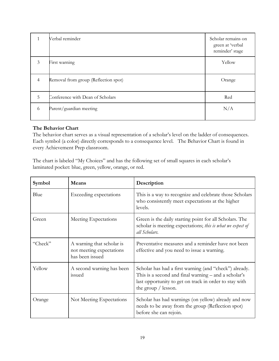| 1              | Verbal reminder                      | Scholar remains on<br>green at 'verbal<br>reminder' stage |
|----------------|--------------------------------------|-----------------------------------------------------------|
| $\mathfrak{Z}$ | First warning                        | Yellow                                                    |
| $\overline{4}$ | Removal from group (Reflection spot) | Orange                                                    |
| 5              | Conference with Dean of Scholars     | Red                                                       |
| 6              | Parent/guardian meeting              | N/A                                                       |

#### **The Behavior Chart**

The behavior chart serves as a visual representation of a scholar's level on the ladder of consequences. Each symbol (a color) directly corresponds to a consequence level. The Behavior Chart is found in every Achievement Prep classroom.

The chart is labeled "My Choices" and has the following set of small squares in each scholar's laminated pocket: blue, green, yellow, orange, or red.

| Symbol  | Means                                                                    | Description                                                                                                                                                                                       |  |
|---------|--------------------------------------------------------------------------|---------------------------------------------------------------------------------------------------------------------------------------------------------------------------------------------------|--|
| Blue    | Exceeding expectations                                                   | This is a way to recognize and celebrate those Scholars<br>who consistently meet expectations at the higher<br>levels.                                                                            |  |
| Green   | Meeting Expectations                                                     | Green is the daily starting point for all Scholars. The<br>scholar is meeting expectations; this is what we expect of<br>all Scholars.                                                            |  |
| "Check" | A warning that scholar is<br>not meeting expectations<br>has been issued | Preventative measures and a reminder have not been<br>effective and you need to issue a warning.                                                                                                  |  |
| Yellow  | A second warning has been<br>issued                                      | Scholar has had a first warning (and "check") already.<br>This is a second and final warning – and a scholar's<br>last opportunity to get on track in order to stay with<br>the group $/$ lesson. |  |
| Orange  | Not Meeting Expectations                                                 | Scholar has had warnings (on yellow) already and now<br>needs to be away from the group (Reflection spot)<br>before she can rejoin.                                                               |  |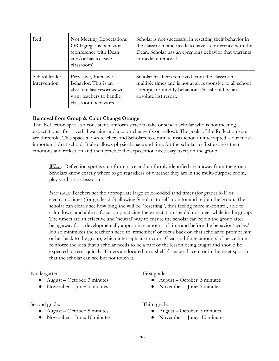| Red                           | Not Meeting Expectations<br>OR Egregious behavior<br>(conference with Dean<br>and/or has to leave<br>classroom)               | Scholar is not successful in resetting their behavior in<br>the classroom and needs to have a conference with the<br>Dean. Scholar has an egregious behavior that warrants<br>immediate removal. |
|-------------------------------|-------------------------------------------------------------------------------------------------------------------------------|--------------------------------------------------------------------------------------------------------------------------------------------------------------------------------------------------|
| School leader<br>intervention | Pervasive, Intensive<br>Behavior. This is an<br>absolute last resort as we<br>want teachers to handle<br>classroom behaviors. | Scholar has been removed from the classroom<br>multiple times and is not at all responsive to all school<br>attempts to modify behavior. This should be an<br>absolute last resort.              |

#### **Removal from Group & Color Change Orange**

The 'Reflection spot' is a consistent, uniform space to take or send a scholar who is not meeting expectations after a verbal warning and a color change (is on yellow). The goals of the Reflection spot are threefold. This space allows teachers and Scholars to continue instruction uninterrupted – our most important job at school. It also allows physical space and time for the scholar to first express their emotions and reflect on and then practice the expectation necessary to rejoin the group.

*Where:* Reflection spot is a uniform place and uniformly identified chair away from the group. Scholars know exactly where to go regardless of whether they are in the multi-purpose room, play yard, or a classroom.

*How Long:* Teachers set the appropriate large color-coded sand timer (for grades k-1) or electronic timer (for grades 2-3) allowing Scholars to self-monitor and re-join the group. The scholar can clearly see how long she will be "resetting", thus feeling more in-control, able to calm down, and able to focus on practicing the expectation she did not meet while in the group. The timers are an effective and 'neutral' way to ensure the scholar can rejoin the group after being away for a developmentally appropriate amount of time and before the behavior 'cycles.' It also minimizes the teacher's need to 'remember' or focus back on that scholar to prompt him or her back to the group, which interrupts instruction. Clear and finite amounts of peace time reinforce the idea that a scholar needs to be a part of the lesson being taught and should be expected to reset quickly. Timers are located on a shelf / space adjacent or in the reset spot so that the scholar can see but not touch it.

Kindergarten:

- August October: 3 minutes
- November June: 5 minutes

Second grade:

- $\bullet$  August October: 5 minutes
- November June: 10 minutes

First grade:

- August October: 3 minutes
- November June: 5 minutes

#### Third grade:

- $\bullet$  August October: 5 minutes
- November June: 10 minutes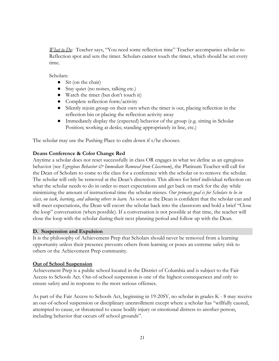*What to Do:* Teacher says, "You need some reflection time" Teacher accompanies scholar to Reflection spot and sets the timer. Scholars cannot touch the timer, which should be set every time.

Scholars:

- Sit (on the chair)
- Stay quiet (no noises, talking etc.)
- Watch the timer (but don't touch it)
- Complete reflection form/activity
- Silently rejoin group on their own when the timer is out, placing reflection in the reflection bin or placing the reflection activity away
- Immediately display the (expected) behavior of the group (e.g. sitting in Scholar Position; working at desks; standing appropriately in line, etc.)

The scholar may use the Pushing Place to calm down if s/he chooses.

#### **Deans Conference & Color Change Red**

Anytime a scholar does not reset successfully in class OR engages in what we define as an egregious behavior (see *Egregious Behavior & Immediate Removal from Classroom*), the Platinum Teacher will call for the Dean of Scholars to come to the class for a conference with the scholar or to remove the scholar. The scholar will only be removed at the Dean's discretion. This allows for brief individual reflection on what the scholar needs to do in order to meet expectations and get back on track for the day while minimizing the amount of instructional time the scholar misses. *Our primary goal is for Scholars to be in class, on task, learning, and allowing others to learn.* As soon as the Dean is confident that the scholar can and will meet expectations, the Dean will escort the scholar back into the classroom and hold a brief "Close the loop" conversation (when possible). If a conversation is not possible at that time, the teacher will close the loop with the scholar during their next planning period and follow up with the Dean.

#### **D. Suspension and Expulsion**

It is the philosophy of Achievement Prep that Scholars should never be removed from a learning opportunity unless their presence prevents others from learning or poses an extreme safety risk to others or the Achievement Prep community.

#### **Out of School Suspension**

Achievement Prep is a public school located in the District of Columbia and is subject to the Fair Access to Schools Act. Out-of-school suspension is one of the highest consequences and only to ensure safety and in response to the most serious offenses.

As part of the Fair Access to Schools Act, beginning in 19-20SY, no scholar in grades K - 8 may receive an out-of-school suspension or disciplinary unenrollment except where a scholar has "willfully caused, attempted to cause, or threatened to cause bodily injury or emotional distress to another person, including behavior that occurs off school grounds".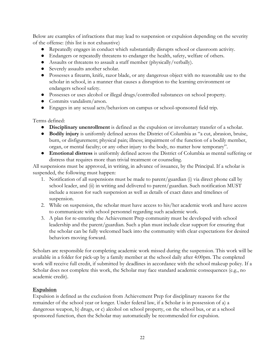Below are examples of infractions that may lead to suspension or expulsion depending on the severity of the offense: (this list is not exhaustive)

- Repeatedly engages in conduct which substantially disrupts school or classroom activity.
- Endangers or repeatedly threatens to endanger the health, safety, welfare of others.
- Assaults or threatens to assault a staff member (physically/verbally).
- Severely assaults another scholar.
- Possesses a firearm, knife, razor blade, or any dangerous object with no reasonable use to the scholar in school, in a manner that causes a disruption to the learning environment or endangers school safety.
- Possesses or uses alcohol or illegal drugs/controlled substances on school property.
- Commits vandalism/arson.
- Engages in any sexual acts/behaviors on campus or school-sponsored field trip.

#### Terms defined:

- **Disciplinary unenrollment** is defined as the expulsion or involuntary transfer of a scholar.
- **Bodily injury** is uniformly defined across the District of Columbia as "a cut, abrasion, bruise, burn, or disfigurement; physical pain; illness; impairment of the function of a bodily member, organ, or mental faculty; or any other injury to the body, no matter how temporary".
- **Emotional distress** is uniformly defined across the District of Columbia as mental suffering or distress that requires more than trivial treatment or counseling.

All suspensions must be approved, in writing, in advance of issuance, by the Principal. If a scholar is suspended, the following must happen:

- 1. Notification of all suspensions must be made to parent/guardian (i) via direct phone call by school leader, and (ii) in writing and delivered to parent/guardian. Such notification MUST include a reason for such suspension as well as details of exact dates and timelines of suspension.
- 2. While on suspension, the scholar must have access to his/her academic work and have access to communicate with school personnel regarding such academic work.
- 3. A plan for re-entering the Achievement Prep community must be developed with school leadership and the parent/guardian. Such a plan must include clear support for ensuring that the scholar can be fully welcomed back into the community with clear expectations for desired behaviors moving forward.

Scholars are responsible for completing academic work missed during the suspension. This work will be available in a folder for pick-up by a family member at the school daily after 4:00pm. The completed work will receive full credit, if submitted by deadlines in accordance with the school makeup policy. If a Scholar does not complete this work, the Scholar may face standard academic consequences (e.g., no academic credit).

#### **Expulsion**

Expulsion is defined as the exclusion from Achievement Prep for disciplinary reasons for the remainder of the school year or longer. Under federal law, if a Scholar is in possession of a) a dangerous weapon, b) drugs, or c) alcohol on school property, on the school bus, or at a school sponsored function, then the Scholar may automatically be recommended for expulsion.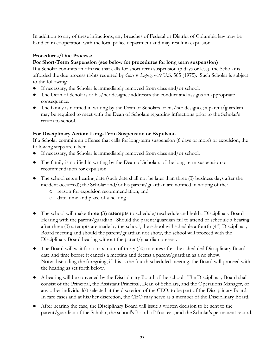In addition to any of these infractions, any breaches of Federal or District of Columbia law may be handled in cooperation with the local police department and may result in expulsion.

## **Procedures/Due Process:**

## **For Short-Term Suspension (see below for procedures for long term suspension)**

If a Scholar commits an offense that calls for short-term suspension (5 days or less), the Scholar is afforded the due process rights required by *Goss v. Lopez,* 419 U.S. 565 (1975).Such Scholar is subject to the following:

- If necessary, the Scholar is immediately removed from class and/or school.
- The Dean of Scholars or his/her designee addresses the conduct and assigns an appropriate consequence.
- The family is notified in writing by the Dean of Scholars or his/her designee; a parent/guardian may be required to meet with the Dean of Scholars regarding infractions prior to the Scholar's return to school.

## **For Disciplinary Action: Long-Term Suspension or Expulsion**

If a Scholar commits an offense that calls for long-term suspension (6 days or more) or expulsion, the following steps are taken:

- If necessary, the Scholar is immediately removed from class and/or school.
- The family is notified in writing by the Dean of Scholars of the long-term suspension or recommendation for expulsion.
- The school sets a hearing date (such date shall not be later than three (3) business days after the incident occurred); the Scholar and/or his parent/guardian are notified in writing of the:
	- o reason for expulsion recommendation; and
	- o date, time and place of a hearing
- The school will make **three (3) attempts** to schedule/reschedule and hold a Disciplinary Board Hearing with the parent/guardian. Should the parent/guardian fail to attend or schedule a hearing after three (3) attempts are made by the school, the school will schedule a fourth  $(4<sup>th</sup>)$  Disciplinary Board meeting and should the parent/guardian not show, the school will proceed with the Disciplinary Board hearing without the parent/guardian present.
- The Board will wait for a maximum of thirty (30) minutes after the scheduled Disciplinary Board date and time before it cancels a meeting and deems a parent/guardian as a no show. Notwithstanding the foregoing, if this is the fourth scheduled meeting, the Board will proceed with the hearing as set forth below.
- A hearing will be convened by the Disciplinary Board of the school. The Disciplinary Board shall consist of the Principal, the Assistant Principal, Dean of Scholars, and the Operations Manager, or any other individual(s) selected at the discretion of the CEO, to be part of the Disciplinary Board. In rare cases and at his/her discretion, the CEO may serve as a member of the Disciplinary Board.
- After hearing the case, the Disciplinary Board will issue a written decision to be sent to the parent/guardian of the Scholar, the school's Board of Trustees, and the Scholar's permanent record.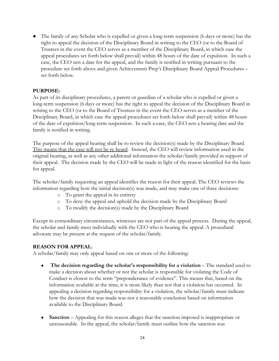• The family of any Scholar who is expelled or given a long-term suspension (6 days or more) has the right to appeal the decision of the Disciplinary Board in writing to the CEO (or to the Board of Trustees in the event the CEO serves as a member of the Disciplinary Board, in which case the appeal procedures set forth below shall prevail) within 48 hours of the date of expulsion. In such a case, the CEO sets a date for the appeal, and the family is notified in writing pursuant to the procedure set forth above and given Achievement Prep's Disciplinary Board Appeal Procedures – set forth below.

#### **PURPOSE:**

As part of its disciplinary procedures, a parent or guardian of a scholar who is expelled or given a long-term suspension (6 days or more) has the right to appeal the decision of the Disciplinary Board in writing to the CEO (or to the Board of Trustees in the event the CEO serves as a member of the Disciplinary Board, in which case the appeal procedures set forth below shall prevail) within 48 hours of the date of expulsion/long-term suspension. In such a case, the CEO sets a hearing date and the family is notified in writing.

The purpose of the appeal hearing shall be to review the decision(s) made by the Disciplinary Board. This means that the case will not be re-heard. Instead, the CEO will review information used in the original hearing, as well as any other additional information the scholar/family provided in support of their appeal. The decision made by the CEO will be made in light of the reason identified for the basis for appeal.

The scholar/family requesting an appeal identifies the reason for their appeal. The CEO reviews the information regarding how the initial decision(s) was made, and may make one of three decisions:

- o To grant the appeal in its entirety
- o To deny the appeal and uphold the decision made by the Disciplinary Board
- o To modify the decision(s) made by the Disciplinary Board

Except in extraordinary circumstances, witnesses are not part of the appeal process. During the appeal, the scholar and family meet individually with the CEO who is hearing the appeal. A procedural advocate may be present at the request of the scholar/family.

#### **REASON FOR APPEAL**:

A scholar/family may only appeal based on one or more of the following:

- **The decision regarding the scholar's responsibility for a violation** The standard used to make a decision about whether or not the scholar is responsible for violating the Code of Conduct is closest to the term "preponderance of evidence". This means that, based on the information available at the time, it is more likely than not that a violation has occurred. In appealing a decision regarding responsibility for a violation, the scholar/family must indicate how the decision that was made was not a reasonable conclusion based on information available to the Disciplinary Board.
- **Sanction** Appealing for this reason alleges that the sanction imposed is inappropriate or unreasonable. In the appeal, the scholar/family must outline how the sanction was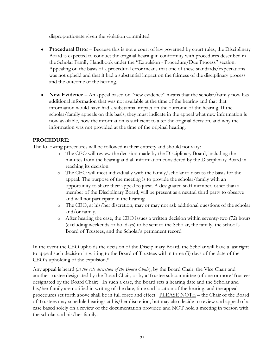disproportionate given the violation committed.

- **Procedural Error** Because this is not a court of law governed by court rules, the Disciplinary Board is expected to conduct the original hearing in conformity with procedures described in the Scholar Family Handbook under the "Expulsion - Procedure/Due Process" section. Appealing on the basis of a procedural error means that one of these standards/expectations was not upheld and that it had a substantial impact on the fairness of the disciplinary process and the outcome of the hearing.
- **New Evidence** An appeal based on "new evidence" means that the scholar/family now has additional information that was not available at the time of the hearing and that that information would have had a substantial impact on the outcome of the hearing. If the scholar/family appeals on this basis, they must indicate in the appeal what new information is now available, how the information is sufficient to alter the original decision, and why the information was not provided at the time of the original hearing.

## **PROCEDURE:**

The following procedures will be followed in their entirety and should not vary:

- o The CEO will review the decision made by the Disciplinary Board, including the minutes from the hearing and all information considered by the Disciplinary Board in reaching its decision.
- o The CEO will meet individually with the family/scholar to discuss the basis for the appeal. The purpose of the meeting is to provide the scholar/family with an opportunity to share their appeal request. A designated staff member, other than a member of the Disciplinary Board, will be present as a neutral third party to observe and will not participate in the hearing.
- o The CEO, at his/her discretion, may or may not ask additional questions of the scholar and/or family.
- o After hearing the case, the CEO issues a written decision within seventy-two (72) hours (excluding weekends or holidays) to be sent to the Scholar, the family, the school's Board of Trustees, and the Scholar's permanent record.

In the event the CEO upholds the decision of the Disciplinary Board, the Scholar will have a last right to appeal such decision in writing to the Board of Trustees within three (3) days of the date of the CEO's upholding of the expulsion.\*

Any appeal is heard (*at the sole discretion of the Board Chair*), by the Board Chair, the Vice Chair and another trustee designated by the Board Chair, or by a Trustee subcommittee (of one or more Trustees designated by the Board Chair). In such a case, the Board sets a hearing date and the Scholar and his/her family are notified in writing of the date, time and location of the hearing, and the appeal procedures set forth above shall be in full force and effect. PLEASE NOTE – the Chair of the Board of Trustees may schedule hearings at his/her discretion, but may also decide to review and appeal of a case based solely on a review of the documentation provided and NOT hold a meeting in person with the scholar and his/her family.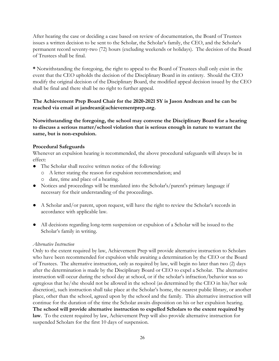After hearing the case or deciding a case based on review of documentation, the Board of Trustees issues a written decision to be sent to the Scholar, the Scholar's family, the CEO, and the Scholar's permanent record seventy-two (72) hours (excluding weekends or holidays). The decision of the Board of Trustees shall be final.

**\*** Notwithstanding the foregoing, the right to appeal to the Board of Trustees shall only exist in the event that the CEO upholds the decision of the Disciplinary Board in its entirety. Should the CEO modify the original decision of the Disciplinary Board, the modified appeal decision issued by the CEO shall be final and there shall be no right to further appeal.

## **The Achievement Prep Board Chair for the 2020-2021 SY is Jason Andrean and he can be reached via email at jandrean@achievementprep.org.**

**Notwithstanding the foregoing, the school may convene the Disciplinary Board for a hearing to discuss a serious matter/school violation that is serious enough in nature to warrant the same, but is non-expulsion.**

#### **Procedural Safeguards**

Whenever an expulsion hearing is recommended, the above procedural safeguards will always be in effect:

- The Scholar shall receive written notice of the following:
	- o A letter stating the reason for expulsion recommendation; and
	- o date, time and place of a hearing.
- Notices and proceedings will be translated into the Scholar's/parent's primary language if necessary for their understanding of the proceedings.
- A Scholar and/or parent, upon request, will have the right to review the Scholar's records in accordance with applicable law.
- All decisions regarding long-term suspension or expulsion of a Scholar will be issued to the Scholar's family in writing.

#### *Alternative Instruction*

Only to the extent required by law, Achievement Prep will provide alternative instruction to Scholars who have been recommended for expulsion while awaiting a determination by the CEO or the Board of Trustees. The alternative instruction, only as required by law, will begin no later than two (2) days after the determination is made by the Disciplinary Board or CEO to expel a Scholar. The alternative instruction will occur during the school day at school, or if the scholar's infraction/behavior was so egregious that he/she should not be allowed in the school (as determined by the CEO in his/her sole discretion), such instruction shall take place at the Scholar's home, the nearest public library, or another place, other than the school, agreed upon by the school and the family. This alternative instruction will continue for the duration of the time the Scholar awaits disposition on his or her expulsion hearing. **The school will provide alternative instruction to expelled Scholars to the extent required by law**. To the extent required by law, Achievement Prep will also provide alternative instruction for suspended Scholars for the first 10 days of suspension.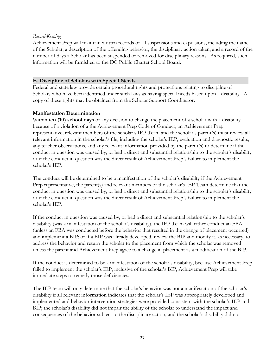#### *Record-Keeping*

Achievement Prep will maintain written records of all suspensions and expulsions, including the name of the Scholar, a description of the offending behavior, the disciplinary action taken, and a record of the number of days a Scholar has been suspended or removed for disciplinary reasons. As required, such information will be furnished to the DC Public Charter School Board.

#### **E. Discipline of Scholars with Special Needs**

Federal and state law provide certain procedural rights and protections relating to discipline of Scholars who have been identified under such laws as having special needs based upon a disability. A copy of these rights may be obtained from the Scholar Support Coordinator.

#### **Manifestation Determination**

Within **ten (10) school days** of any decision to change the placement of a scholar with a disability because of a violation of a the Achievement Prep Code of Conduct, an Achievement Prep representative, relevant members of the scholar's IEP Team and the scholar's parent(s) must review all relevant information in the scholar's file, including the scholar's IEP, evaluation and diagnostic results, any teacher observations, and any relevant information provided by the parent(s) to determine if the conduct in question was caused by, or had a direct and substantial relationship to the scholar's disability or if the conduct in question was the direct result of Achievement Prep's failure to implement the scholar's IEP.

The conduct will be determined to be a manifestation of the scholar's disability if the Achievement Prep representative, the parent(s) and relevant members of the scholar's IEP Team determine that the conduct in question was caused by, or had a direct and substantial relationship to the scholar's disability or if the conduct in question was the direct result of Achievement Prep's failure to implement the scholar's IEP.

If the conduct in question was caused by, or had a direct and substantial relationship to the scholar's disability (was a manifestation of the scholar's disability), the IEP Team will either conduct an FBA (unless an FBA was conducted before the behavior that resulted in the change of placement occurred) and implement a BIP; or if a BIP was already developed, review the BIP and modify it, as necessary, to address the behavior and return the scholar to the placement from which the scholar was removed unless the parent and Achievement Prep agree to a change in placement as a modification of the BIP.

If the conduct is determined to be a manifestation of the scholar's disability, because Achievement Prep failed to implement the scholar's IEP, inclusive of the scholar's BIP, Achievement Prep will take immediate steps to remedy those deficiencies.

The IEP team will only determine that the scholar's behavior was not a manifestation of the scholar's disability if all relevant information indicates that the scholar's IEP was appropriately developed and implemented and behavior intervention strategies were provided consistent with the scholar's IEP and BIP; the scholar's disability did not impair the ability of the scholar to understand the impact and consequences of the behavior subject to the disciplinary action; and the scholar's disability did not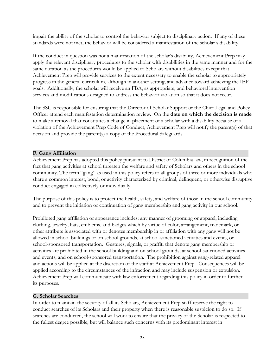impair the ability of the scholar to control the behavior subject to disciplinary action. If any of these standards were not met, the behavior will be considered a manifestation of the scholar's disability.

If the conduct in question was not a manifestation of the scholar's disability, Achievement Prep may apply the relevant disciplinary procedures to the scholar with disabilities in the same manner and for the same duration as the procedures would be applied to Scholars without disabilities except that Achievement Prep will provide services to the extent necessary to enable the scholar to appropriately progress in the general curriculum, although in another setting, and advance toward achieving the IEP goals. Additionally, the scholar will receive an FBA, as appropriate, and behavioral intervention services and modifications designed to address the behavior violation so that it does not recur.

The SSC is responsible for ensuring that the Director of Scholar Support or the Chief Legal and Policy Officer attend each manifestation determination review. On the **date on which the decision is made** to make a removal that constitutes a change in placement of a scholar with a disability because of a violation of the Achievement Prep Code of Conduct, Achievement Prep will notify the parent(s) of that decision and provide the parent(s) a copy of the Procedural Safeguards.

#### **F. Gang Affiliation**

Achievement Prep has adopted this policy pursuant to District of Columbia law, in recognition of the fact that gang activities at school threaten the welfare and safety of Scholars and others in the school community. The term "gang" as used in this policy refers to all groups of three or more individuals who share a common interest, bond, or activity characterized by criminal, delinquent, or otherwise disruptive conduct engaged in collectively or individually.

The purpose of this policy is to protect the health, safety, and welfare of those in the school community and to prevent the initiation or continuation of gang membership and gang activity in our school.

Prohibited gang affiliation or appearance includes: any manner of grooming or apparel, including clothing, jewelry, hats, emblems, and badges which by virtue of color, arrangement, trademark, or other attribute is associated with or denotes membership in or affiliation with any gang will not be allowed in school buildings or on school grounds, at school-sanctioned activities and events, or school-sponsored transportation. Gestures, signals, or graffiti that denote gang membership or activities are prohibited in the school building and on school grounds, at school-sanctioned activities and events, and on school-sponsored transportation. The prohibition against gang-related apparel and actions will be applied at the discretion of the staff at Achievement Prep. Consequences will be applied according to the circumstances of the infraction and may include suspension or expulsion. Achievement Prep will communicate with law enforcement regarding this policy in order to further its purposes.

#### **G. Scholar Searches**

In order to maintain the security of all its Scholars, Achievement Prep staff reserve the right to conduct searches of its Scholars and their property when there is reasonable suspicion to do so. If searches are conducted, the school will work to ensure that the privacy of the Scholar is respected to the fullest degree possible, but will balance such concerns with its predominant interest in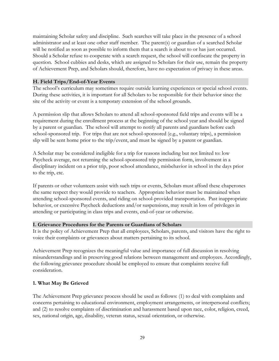maintaining Scholar safety and discipline. Such searches will take place in the presence of a school administrator and at least one other staff member. The parent(s) or guardian of a searched Scholar will be notified as soon as possible to inform them that a search is about to or has just occurred. Should a Scholar refuse to cooperate with a search request, the school will confiscate the property in question. School cubbies and desks, which are assigned to Scholars for their use, remain the property of Achievement Prep, and Scholars should, therefore, have no expectation of privacy in these areas.

#### **H. Field Trips/End-of-Year Events**

The school's curriculum may sometimes require outside learning experiences or special school events. During these activities, it is important for all Scholars to be responsible for their behavior since the site of the activity or event is a temporary extension of the school grounds.

A permission slip that allows Scholars to attend all school-sponsored field trips and events will be a requirement during the enrollment process at the beginning of the school year and should be signed by a parent or guardian. The school will attempt to notify all parents and guardians before each school-sponsored trip. For trips that are not school-sponsored (e.g., voluntary trips), a permission slip will be sent home prior to the trip/event, and must be signed by a parent or guardian.

A Scholar may be considered ineligible for a trip for reasons including but not limited to: low Paycheck average, not returning the school-sponsored trip permission form, involvement in a disciplinary incident on a prior trip, poor school attendance, misbehavior in school in the days prior to the trip, etc.

If parents or other volunteers assist with such trips or events, Scholars must afford these chaperones the same respect they would provide to teachers. Appropriate behavior must be maintained when attending school-sponsored events, and riding on school-provided transportation. Past inappropriate behavior, or excessive Paycheck deductions and/or suspensions, may result in loss of privileges in attending or participating in class trips and events, end-of-year or otherwise.

#### **I. Grievance Procedures for the Parents or Guardians of Scholars**

It is the policy of Achievement Prep that all employees, Scholars, parents, and visitors have the right to voice their complaints or grievances about matters pertaining to its school.

Achievement Prep recognizes the meaningful value and importance of full discussion in resolving misunderstandings and in preserving good relations between management and employees. Accordingly, the following grievance procedure should be employed to ensure that complaints receive full consideration.

## **1. What May Be Grieved**

The Achievement Prep grievance process should be used as follows: (1) to deal with complaints and concerns pertaining to educational environment, employment arrangements, or interpersonal conflicts; and (2) to resolve complaints of discrimination and harassment based upon race, color, religion, creed, sex, national origin, age, disability, veteran status, sexual orientation, or otherwise.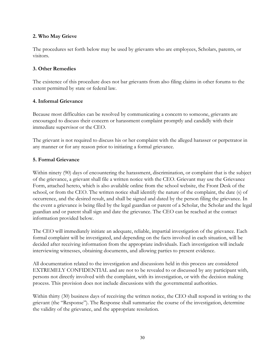#### **2. Who May Grieve**

The procedures set forth below may be used by grievants who are employees, Scholars, parents, or visitors.

#### **3. Other Remedies**

The existence of this procedure does not bar grievants from also filing claims in other forums to the extent permitted by state or federal law.

#### **4. Informal Grievance**

Because most difficulties can be resolved by communicating a concern to someone, grievants are encouraged to discuss their concern or harassment complaint promptly and candidly with their immediate supervisor or the CEO.

The grievant is not required to discuss his or her complaint with the alleged harasser or perpetrator in any manner or for any reason prior to initiating a formal grievance.

#### **5. Formal Grievance**

Within ninety (90) days of encountering the harassment, discrimination, or complaint that is the subject of the grievance, a grievant shall file a written notice with the CEO. Grievant may use the Grievance Form, attached hereto, which is also available online from the school website, the Front Desk of the school, or from the CEO. The written notice shall identify the nature of the complaint, the date (s) of occurrence, and the desired result, and shall be signed and dated by the person filing the grievance. In the event a grievance is being filed by the legal guardian or parent of a Scholar, the Scholar and the legal guardian and or parent shall sign and date the grievance. The CEO can be reached at the contact information provided below.

The CEO will immediately initiate an adequate, reliable, impartial investigation of the grievance. Each formal complaint will be investigated, and depending on the facts involved in each situation, will be decided after receiving information from the appropriate individuals. Each investigation will include interviewing witnesses, obtaining documents, and allowing parties to present evidence.

All documentation related to the investigation and discussions held in this process are considered EXTREMELY CONFIDENTIAL and are not to be revealed to or discussed by any participant with, persons not directly involved with the complaint, with its investigation, or with the decision making process. This provision does not include discussions with the governmental authorities.

Within thirty (30) business days of receiving the written notice, the CEO shall respond in writing to the grievant (the "Response"). The Response shall summarize the course of the investigation, determine the validity of the grievance, and the appropriate resolution.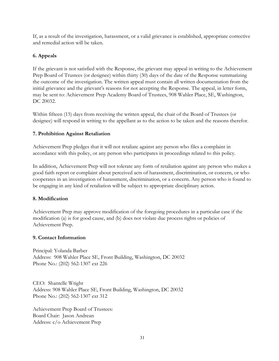If, as a result of the investigation, harassment, or a valid grievance is established, appropriate corrective and remedial action will be taken.

## **6. Appeals**

If the grievant is not satisfied with the Response, the grievant may appeal in writing to the Achievement Prep Board of Trustees (or designee) within thirty (30) days of the date of the Response summarizing the outcome of the investigation. The written appeal must contain all written documentation from the initial grievance and the grievant's reasons for not accepting the Response. The appeal, in letter form, may be sent to: Achievement Prep Academy Board of Trustees, 908 Wahler Place, SE, Washington, DC 20032.

Within fifteen (15) days from receiving the written appeal, the chair of the Board of Trustees (or designee) will respond in writing to the appellant as to the action to be taken and the reasons therefor.

## **7. Prohibition Against Retaliation**

Achievement Prep pledges that it will not retaliate against any person who files a complaint in accordance with this policy, or any person who participates in proceedings related to this policy.

In addition, Achievement Prep will not tolerate any form of retaliation against any person who makes a good faith report or complaint about perceived acts of harassment, discrimination, or concern, or who cooperates in an investigation of harassment, discrimination, or a concern. Any person who is found to be engaging in any kind of retaliation will be subject to appropriate disciplinary action.

#### **8. Modification**

Achievement Prep may approve modification of the foregoing procedures in a particular case if the modification (a) is for good cause, and (b) does not violate due process rights or policies of Achievement Prep.

#### **9. Contact Information**

Principal: Yolanda Barber Address: 908 Wahler Place SE, Front Building, Washington, DC 20032 Phone No.: (202) 562-1307 ext 226

CEO: Shantelle Wright Address: 908 Wahler Place SE, Front Building, Washington, DC 20032 Phone No.: (202) 562-1307 ext 312

Achievement Prep Board of Trustees: Board Chair: Jason Andrean Address: c/o Achievement Prep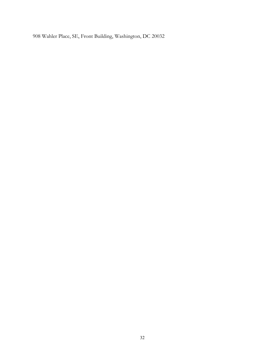908 Wahler Place, SE, Front Building, Washington, DC 20032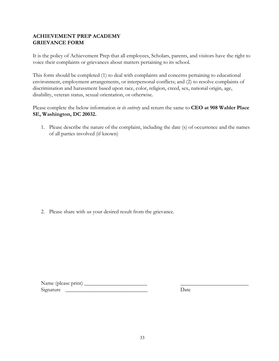## **ACHIEVEMENT PREP ACADEMY GRIEVANCE FORM**

It is the policy of Achievement Prep that all employees, Scholars, parents, and visitors have the right to voice their complaints or grievances about matters pertaining to its school.

This form should be completed (1) to deal with complaints and concerns pertaining to educational environment, employment arrangements, or interpersonal conflicts; and (2) to resolve complaints of discrimination and harassment based upon race, color, religion, creed, sex, national origin, age, disability, veteran status, sexual orientation, or otherwise.

Please complete the below information *in its entirety* and return the same to **CEO at 908 Wahler Place SE, Washington, DC 20032.**

1. Please describe the nature of the complaint, including the date (s) of occurrence and the names of all parties involved (if known)

2. Please share with us your desired result from the grievance.

| Name (please print) |      |
|---------------------|------|
| Signature           | Jate |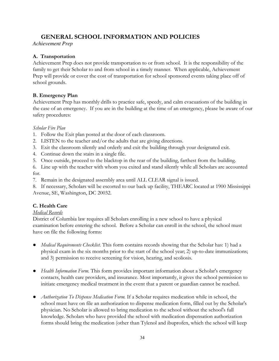## **GENERAL SCHOOL INFORMATION AND POLICIES**

*Achievement Prep*

## **A. Transportation**

Achievement Prep does not provide transportation to or from school. It is the responsibility of the family to get their Scholar to and from school in a timely manner. When applicable, Achievement Prep will provide or cover the cost of transportation for school sponsored events taking place off of school grounds.

## **B. Emergency Plan**

Achievement Prep has monthly drills to practice safe, speedy, and calm evacuations of the building in the case of an emergency. If you are in the building at the time of an emergency, please be aware of our safety procedures:

## *Scholar Fire Plan*

- 1. Follow the Exit plan posted at the door of each classroom.
- 2. LISTEN to the teacher and/or the adults that are giving directions.
- 3. Exit the classroom silently and orderly and exit the building through your designated exit.
- 4. Continue down the stairs in a single file.
- 5. Once outside, proceed to the blacktop in the rear of the building, farthest from the building.
- 6. Line up with the teacher with whom you exited and stand silently while all Scholars are accounted for.
- 7. Remain in the designated assembly area until ALL CLEAR signal is issued.

8. If necessary, Scholars will be escorted to our back up facility, THEARC located at 1900 Mississippi Avenue, SE, Washington, DC 20032.

## **C. Health Care**

## *Medical Records*

District of Columbia law requires all Scholars enrolling in a new school to have a physical examination before entering the school. Before a Scholar can enroll in the school, the school must have on file the following forms:

- *Medical Requirements Checklist*. This form contains records showing that the Scholar has: 1) had a physical exam in the six months prior to the start of the school year; 2) up-to-date immunizations; and 3) permission to receive screening for vision, hearing, and scoliosis.
- *Health Information Form.* This form provides important information about a Scholar's emergency contacts, health care providers, and insurance. Most importantly, it gives the school permission to initiate emergency medical treatment in the event that a parent or guardian cannot be reached.
- *Authorization To Dispense Medication Form.* If a Scholar requires medication while in school, the school must have on file an authorization to dispense medication form, filled out by the Scholar's physician. No Scholar is allowed to bring medication to the school without the school's full knowledge. Scholars who have provided the school with medication dispensation authorization forms should bring the medication (other than Tylenol and ibuprofen, which the school will keep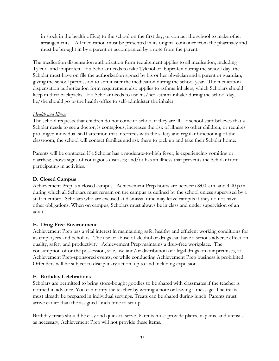in stock in the health office) to the school on the first day, or contact the school to make other arrangements. All medication must be presented in its original container from the pharmacy and must be brought in by a parent or accompanied by a note from the parent.

The medication dispensation authorization form requirement applies to all medication, including Tylenol and ibuprofen. If a Scholar needs to take Tylenol or ibuprofen during the school day, the Scholar must have on file the authorization signed by his or her physician and a parent or guardian, giving the school permission to administer the medication during the school year. The medication dispensation authorization form requirement also applies to asthma inhalers, which Scholars should keep in their backpacks. If a Scholar needs to use his/her asthma inhaler during the school day, he/she should go to the health office to self-administer the inhaler.

#### *Health and Illness*

The school requests that children do not come to school if they are ill. If school staff believes that a Scholar needs to see a doctor, is contagious, increases the risk of illness to other children, or requires prolonged individual staff attention that interferes with the safety and regular functioning of the classroom, the school will contact families and ask them to pick up and take their Scholar home.

Parents will be contacted if a Scholar has a moderate-to-high fever; is experiencing vomiting or diarrhea; shows signs of contagious diseases; and/or has an illness that prevents the Scholar from participating in activities.

#### **D. Closed Campus**

Achievement Prep is a closed campus. Achievement Prep hours are between 8:00 a.m. and 4:00 p.m. during which all Scholars must remain on the campus as defined by the school unless supervised by a staff member. Scholars who are excused at dismissal time may leave campus if they do not have other obligations. When on campus, Scholars must always be in class and under supervision of an adult.

#### **E. Drug Free Environment**

Achievement Prep has a vital interest in maintaining safe, healthy and efficient working conditions for its employees and Scholars. The use or abuse of alcohol or drugs can have a serious adverse effect on quality, safety and productivity. Achievement Prep maintains a drug-free workplace. The consumption of or the possession, sale, use and/or distribution of illegal drugs on our premises, at Achievement Prep-sponsored events, or while conducting Achievement Prep business is prohibited. Offenders will be subject to disciplinary action, up to and including expulsion.

#### **F. Birthday Celebrations**

Scholars are permitted to bring store-bought goodies to be shared with classmates if the teacher is notified in advance. You can notify the teacher by writing a note or leaving a message. The treats must already be prepared in individual servings. Treats can be shared during lunch. Parents must arrive earlier than the assigned lunch time to set up.

Birthday treats should be easy and quick to serve. Parents must provide plates, napkins, and utensils as necessary; Achievement Prep will not provide these items.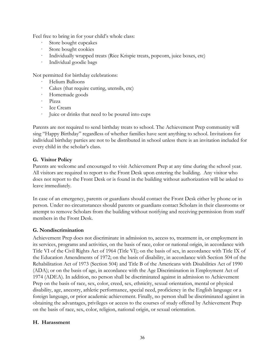Feel free to bring in for your child's whole class:

- Store bought cupcakes
- Store bought cookies
- Individually wrapped treats (Rice Krispie treats, popcorn, juice boxes, etc)
- Individual goodie bags

Not permitted for birthday celebrations:

- Helium Balloons
- Cakes (that require cutting, utensils, etc)
- Homemade goods
- · Pizza
- Ice Cream
- Juice or drinks that need to be poured into cups

Parents are not required to send birthday treats to school. The Achievement Prep community will sing "Happy Birthday" regardless of whether families have sent anything to school. Invitations for individual birthday parties are not to be distributed in school unless there is an invitation included for every child in the scholar's class.

#### **G. Visitor Policy**

Parents are welcome and encouraged to visit Achievement Prep at any time during the school year. All visitors are required to report to the Front Desk upon entering the building. Any visitor who does not report to the Front Desk or is found in the building without authorization will be asked to leave immediately.

In case of an emergency, parents or guardians should contact the Front Desk either by phone or in person. Under no circumstances should parents or guardians contact Scholars in their classrooms or attempt to remove Scholars from the building without notifying and receiving permission from staff members in the Front Desk.

#### **G. Nondiscrimination**

Achievement Prep does not discriminate in admission to, access to, treatment in, or employment in its services, programs and activities, on the basis of race, color or national origin, in accordance with Title VI of the Civil Rights Act of 1964 (Title VI); on the basis of sex, in accordance with Title IX of the Education Amendments of 1972; on the basis of disability, in accordance with Section 504 of the Rehabilitation Act of 1973 (Section 504) and Title B of the Americans with Disabilities Act of 1990 (ADA); or on the basis of age, in accordance with the Age Discrimination in Employment Act of 1974 (ADEA). In addition, no person shall be discriminated against in admission to Achievement Prep on the basis of race, sex, color, creed, sex, ethnicity, sexual orientation, mental or physical disability, age, ancestry, athletic performance, special need, proficiency in the English language or a foreign language, or prior academic achievement. Finally, no person shall be discriminated against in obtaining the advantages, privileges or access to the courses of study offered by Achievement Prep on the basis of race, sex, color, religion, national origin, or sexual orientation.

#### **H. Harassment**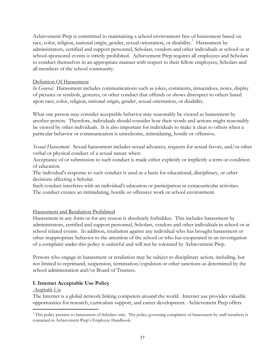Achievement Prep is committed to maintaining a school environment free of harassment based on race, color, religion, national origin, gender, sexual orientation, or disability. Harassment by administrators, certified and support personnel, Scholars, vendors and other individuals at school or at school-sponsored events is strictly prohibited. Achievement Prep requires all employees and Scholars to conduct themselves in an appropriate manner with respect to their fellow employees, Scholars and all members of the school community.

#### Definition Of Harassment

*In General*. Harassment includes communications such as jokes, comments, innuendoes, notes, display of pictures or symbols, gestures, or other conduct that offends or shows disrespect to others based upon race, color, religion, national origin, gender, sexual orientation, or disability.

What one person may consider acceptable behavior may reasonably be viewed as harassment by another person. Therefore, individuals should consider how their words and actions might reasonably be viewed by other individuals. It is also important for individuals to make it clear to others when a particular behavior or communication is unwelcome, intimidating, hostile or offensive.

*Sexual Harassment*. Sexual harassment includes sexual advances, requests for sexual favors, and/or other verbal or physical conduct of a sexual nature when:

Acceptance of or submission to such conduct is made either explicitly or implicitly a term or condition of education.

The individual's response to such conduct is used as a basis for educational, disciplinary, or other decisions affecting a Scholar.

Such conduct interferes with an individual's education or participation in extracurricular activities. The conduct creates an intimidating, hostile or offensive work or school environment.

## Harassment and Retaliation Prohibited

Harassment in any form or for any reason is absolutely forbidden. This includes harassment by administrators, certified and support personnel, Scholars, vendors and other individuals in school or at school related events. In addition, retaliation against any individual who has brought harassment or other inappropriate behavior to the attention of the school or who has cooperated in an investigation of a complaint under this policy is unlawful and will not be tolerated by Achievement Prep.

Persons who engage in harassment or retaliation may be subject to disciplinary action, including, but not limited to reprimand, suspension, termination/expulsion or other sanctions as determined by the school administration and/or Board of Trustees.

## **I. Internet Acceptable Use Policy**

#### *Acceptable Use*

The Internet is a global network linking computers around the world. Internet use provides valuable opportunities for research, curriculum support, and career development. Achievement Prep offers

<sup>&</sup>lt;sup>1</sup> This policy pertains to harassment of Scholars only. The policy governing complaints of harassment by staff members is contained in Achievement Prep's Employee Handbook.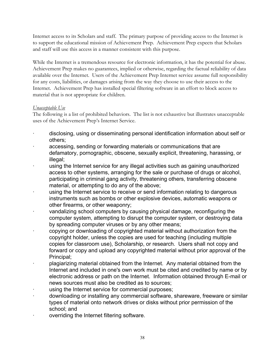Internet access to its Scholars and staff. The primary purpose of providing access to the Internet is to support the educational mission of Achievement Prep. Achievement Prep expects that Scholars and staff will use this access in a manner consistent with this purpose.

While the Internet is a tremendous resource for electronic information, it has the potential for abuse. Achievement Prep makes no guarantees, implied or otherwise, regarding the factual reliability of data available over the Internet. Users of the Achievement Prep Internet service assume full responsibility for any costs, liabilities, or damages arising from the way they choose to use their access to the Internet. Achievement Prep has installed special filtering software in an effort to block access to material that is not appropriate for children.

## *Unacceptable Use*

The following is a list of prohibited behaviors. The list is not exhaustive but illustrates unacceptable uses of the Achievement Prep's Internet Service.

- disclosing, using or disseminating personal identification information about self or others;
- accessing, sending or forwarding materials or communications that are defamatory, pornographic, obscene, sexually explicit, threatening, harassing, or illegal;
- using the Internet service for any illegal activities such as gaining unauthorized access to other systems, arranging for the sale or purchase of drugs or alcohol, participating in criminal gang activity, threatening others, transferring obscene material, or attempting to do any of the above;
- using the Internet service to receive or send information relating to dangerous instruments such as bombs or other explosive devices, automatic weapons or other firearms, or other weaponry;
- vandalizing school computers by causing physical damage, reconfiguring the computer system, attempting to disrupt the computer system, or destroying data by spreading computer viruses or by any other means;
- · copying or downloading of copyrighted material without authorization from the copyright holder, unless the copies are used for teaching (including multiple copies for classroom use), Scholarship, or research. Users shall not copy and forward or copy and upload any copyrighted material without prior approval of the Principal;
- · plagiarizing material obtained from the Internet. Any material obtained from the Internet and included in one's own work must be cited and credited by name or by electronic address or path on the Internet. Information obtained through E-mail or news sources must also be credited as to sources;
- using the Internet service for commercial purposes;
- · downloading or installing any commercial software, shareware, freeware or similar types of material onto network drives or disks without prior permission of the school; and
- · overriding the Internet filtering software.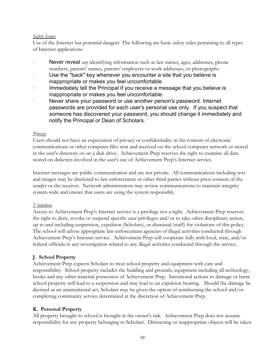## *Safety Issues*

Use of the Internet has potential dangers. The following are basic safety rules pertaining to all types of Internet applications.

- **Never reveal** *any* identifying information such as last names, ages, addresses, phone numbers, parents' names, parents' employers or work addresses, or photographs.
- Use the "back" key whenever you encounter a site that you believe is inappropriate or makes you feel uncomfortable.
- · Immediately tell the Principal if you receive a message that you believe is inappropriate or makes you feel uncomfortable.
- Never share your password or use another person's password. Internet passwords are provided for each user's personal use only. If you suspect that someone has discovered your password, you should change it immediately and notify the Principal or Dean of Scholars.

#### *Privacy*

Users should not have an expectation of privacy or confidentiality in the content of electronic communications or other computer files sent and received on the school computer network or stored in the user's directory or on a disk drive. Achievement Prep reserves the right to examine all data stored on diskettes involved in the user's use of Achievement Prep's Internet service.

Internet messages are public communication and are not private. All communications including text and images may be disclosed to law enforcement or other third parties without prior consent of the sender or the receiver. Network administrators may review communications to maintain integrity system-wide and ensure that users are using the system responsibly.

#### *Violations*

Access to Achievement Prep's Internet service is a privilege not a right. Achievement Prep reserves the right to deny, revoke or suspend specific user privileges and/or to take other disciplinary action, up to and including suspension, expulsion (Scholars), or dismissal (staff) for violations of this policy. The school will advise appropriate law enforcement agencies of illegal activities conducted through Achievement Prep's Internet service. Achievement Prep will cooperate fully with local, state, and/or federal officials in any investigation related to any illegal activities conducted through the service.

## **J. School Property**

Achievement Prep expects Scholars to treat school property and equipment with care and responsibility. School property includes the building and grounds, equipment including all technology, books and any other material possession of Achievement Prep. Intentional actions to damage or harm school property will lead to a suspension and may lead to an expulsion hearing. Should the damage be deemed as an unintentional act, Scholars may be given the option of reimbursing the school and/or completing community service determined at the discretion of Achievement Prep.

## **K. Personal Property**

All property brought to school is brought at the owner's risk. Achievement Prep does not assume responsibility for any property belonging to Scholars. Distracting or inappropriate objects will be taken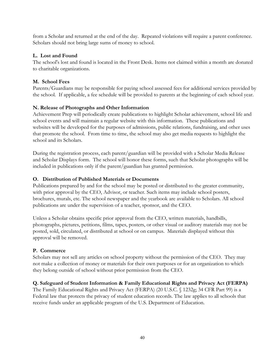from a Scholar and returned at the end of the day. Repeated violations will require a parent conference. Scholars should not bring large sums of money to school.

## **L. Lost and Found**

The school's lost and found is located in the Front Desk. Items not claimed within a month are donated to charitable organizations.

## **M. School Fees**

Parents/Guardians may be responsible for paying school assessed fees for additional services provided by the school. If applicable, a fee schedule will be provided to parents at the beginning of each school year.

## **N. Release of Photographs and Other Information**

Achievement Prep will periodically create publications to highlight Scholar achievement, school life and school events and will maintain a regular website with this information. These publications and websites will be developed for the purposes of admissions, public relations, fundraising, and other uses that promote the school. From time to time, the school may also get media requests to highlight the school and its Scholars.

During the registration process, each parent/guardian will be provided with a Scholar Media Release and Scholar Displays form. The school will honor these forms, such that Scholar photographs will be included in publications only if the parent/guardian has granted permission.

## **O. Distribution of Published Materials or Documents**

Publications prepared by and for the school may be posted or distributed to the greater community, with prior approval by the CEO, Advisor, or teacher. Such items may include school posters, brochures, murals, etc. The school newspaper and the yearbook are available to Scholars. All school publications are under the supervision of a teacher, sponsor, and the CEO.

Unless a Scholar obtains specific prior approval from the CEO, written materials, handbills, photographs, pictures, petitions, films, tapes, posters, or other visual or auditory materials may not be posted, sold, circulated, or distributed at school or on campus. Materials displayed without this approval will be removed.

## **P. Commerce**

Scholars may not sell any articles on school property without the permission of the CEO. They may not make a collection of money or materials for their own purposes or for an organization to which they belong outside of school without prior permission from the CEO.

## **Q. Safeguard of Student Information & Family Educational Rights and Privacy Act (FERPA)**

The Family Educational Rights and Privacy Act (FERPA) (20 U.S.C. § 1232g; 34 CFR Part 99) is a Federal law that protects the privacy of student education records. The law applies to all schools that receive funds under an applicable program of the U.S. Department of Education.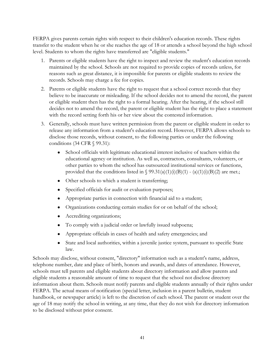FERPA gives parents certain rights with respect to their children's education records. These rights transfer to the student when he or she reaches the age of 18 or attends a school beyond the high school level. Students to whom the rights have transferred are "eligible students."

- 1. Parents or eligible students have the right to inspect and review the student's education records maintained by the school. Schools are not required to provide copies of records unless, for reasons such as great distance, it is impossible for parents or eligible students to review the records. Schools may charge a fee for copies.
- 2. Parents or eligible students have the right to request that a school correct records that they believe to be inaccurate or misleading. If the school decides not to amend the record, the parent or eligible student then has the right to a formal hearing. After the hearing, if the school still decides not to amend the record, the parent or eligible student has the right to place a statement with the record setting forth his or her view about the contested information.
- 3. Generally, schools must have written permission from the parent or eligible student in order to release any information from a student's education record. However, FERPA allows schools to disclose those records, without consent, to the following parties or under the following conditions (34 CFR § 99.31):
	- School officials with legitimate educational interest inclusive of teachers within the educational agency or institution. As well as, contractors, consultants, volunteers, or other parties to whom the school has outsourced institutional services or functions, provided that the conditions listed in  $\S$  99.31(a)(1)(i)(B)(1) - (a)(1)(i)(B)(2) are met.;
	- Other schools to which a student is transferring;
	- Specified officials for audit or evaluation purposes;
	- Appropriate parties in connection with financial aid to a student;
	- Organizations conducting certain studies for or on behalf of the school;
	- Accrediting organizations;
	- To comply with a judicial order or lawfully issued subpoena;
	- Appropriate officials in cases of health and safety emergencies; and
	- State and local authorities, within a juvenile justice system, pursuant to specific State law.

Schools may disclose, without consent, "directory" information such as a student's name, address, telephone number, date and place of birth, honors and awards, and dates of attendance. However, schools must tell parents and eligible students about directory information and allow parents and eligible students a reasonable amount of time to request that the school not disclose directory information about them. Schools must notify parents and eligible students annually of their rights under FERPA. The actual means of notification (special letter, inclusion in a parent bulletin, student handbook, or newspaper article) is left to the discretion of each school. The parent or student over the age of 18 may notify the school in writing, at any time, that they do not wish for directory information to be disclosed without prior consent.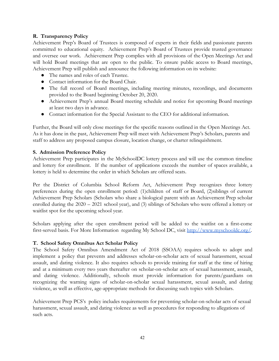#### **R. Transparency Policy**

Achievement Prep's Board of Trustees is composed of experts in their fields and passionate parents committed to educational equity. Achievement Prep's Board of Trustees provide trusted governance and oversee our work. Achievement Prep complies with all provisions of the Open Meetings Act and will hold Board meetings that are open to the public. To ensure public access to Board meetings, Achievement Prep will publish and announce the following information on its website:

- The names and roles of each Trustee.
- Contact information for the Board Chair.
- The full record of Board meetings, including meeting minutes, recordings, and documents provided to the Board beginning October 20, 2020.
- Achievement Prep's annual Board meeting schedule and notice for upcoming Board meetings at least two days in advance.
- Contact information for the Special Assistant to the CEO for additional information.

Further, the Board will only close meetings for the specific reasons outlined in the Open Meetings Act. As it has done in the past, Achievement Prep will meet with Achievement Prep's Scholars, parents and staff to address any proposed campus closure, location change, or charter relinquishment.

#### **S. Admission Preference Policy**

Achievement Prep participates in the MySchoolDC lottery process and will use the common timeline and lottery for enrollment. If the number of applications exceeds the number of spaces available, a lottery is held to determine the order in which Scholars are offered seats.

Per the District of Columbia School Reform Act, Achievement Prep recognizes three lottery preferences during the open enrollment period: (1)children of staff or Board, (2)siblings of current Achievement Prep Scholars (Scholars who share a biological parent with an Achievement Prep scholar enrolled during the 2020 – 2021 school year), and (3) siblings of Scholars who were offered a lottery or waitlist spot for the upcoming school year.

Scholars applying after the open enrollment period will be added to the waitlist on a first-come first-served basis. For More Information regarding My School DC, visit <http://www.myschooldc.org/>.

## **T. School Safety Omnibus Act Scholar Policy**

The School Safety Omnibus Amendment Act of 2018 (SSOAA) requires schools to adopt and implement a policy that prevents and addresses scholar-on-scholar acts of sexual harassment, sexual assault, and dating violence. It also requires schools to provide training for staff at the time of hiring and at a minimum every two years thereafter on scholar-on-scholar acts of sexual harassment, assault, and dating violence. Additionally, schools must provide information for parents/guardians on recognizing the warning signs of scholar-on-scholar sexual harassment, sexual assault, and dating violence, as well as effective, age-appropriate methods for discussing such topics with Scholars.

Achievement Prep PCS's policy includes requirements for preventing scholar-on-scholar acts of sexual harassment, sexual assault, and dating violence as well as procedures for responding to allegations of such acts.